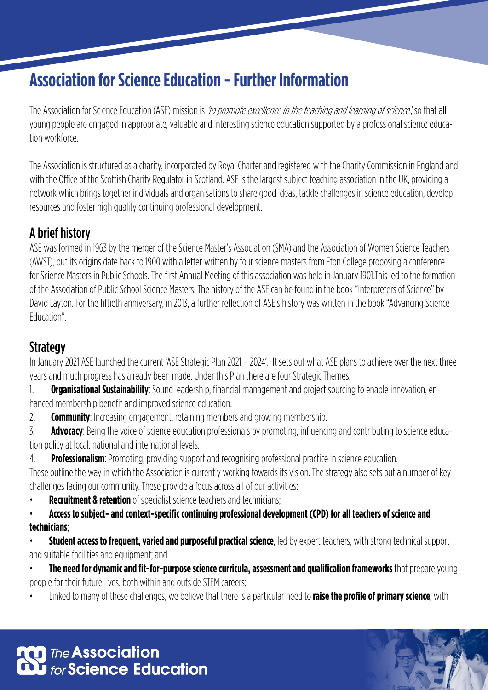# **Association for Science Education - Further Information**

The Association for Science Education (ASE) mission is *'to promote excellence in the teaching and learning of science*', so that all young people are engaged in appropriate, valuable and interesting science education supported by a professional science education workforce.

The Association is structured as a charity, incorporated by Royal Charter and registered with the Charity Commission in England and with the Office of the Scottish Charity Regulator in Scotland. ASE is the largest subject teaching association in the UK, providing a network which brings together individuals and organisations to share good ideas, tackle challenges in science education, develop resources and foster high quality continuing professional development.

## A brief history

ASE was formed in 1963 by the merger of the Science Master's Association (SMA) and the Association of Women Science Teachers (AWST), but its origins date back to 1900 with a letter written by four science masters from Eton College proposing a conference for Science Masters in Public Schools. The first Annual Meeting of this association was held in January 1901.This led to the formation of the Association of Public School Science Masters. The history of the ASE can be found in the book "Interpreters of Science" by David Layton. For the fiftieth anniversary, in 2013, a further reflection of ASE's history was written in the book "Advancing Science Education".

# **Strategy**

In January 2021 ASE launched the current 'ASE Strategic Plan 2021 – 2024'. It sets out what ASE plans to achieve over the next three years and much progress has already been made. Under this Plan there are four Strategic Themes:

1. **Organisational Sustainability**: Sound leadership, financial management and project sourcing to enable innovation, enhanced membership benefit and improved science education.

2. **Community**: Increasing engagement, retaining members and growing membership.

3. **Advocacy**: Being the voice of science education professionals by promoting, influencing and contributing to science education policy at local, national and international levels.

4. **Professionalism**: Promoting, providing support and recognising professional practice in science education.

These outline the way in which the Association is currently working towards its vision. The strategy also sets out a number of key challenges facing our community. These provide a focus across all of our activities:

**Recruitment & retention** of specialist science teachers and technicians;

• **Access to subject- and context-specific continuing professional development (CPD) for all teachers of science and technicians**;

• **Student access to frequent, varied and purposeful practical science**, led by expert teachers, with strong technical support and suitable facilities and equipment; and

• **The need for dynamic and fit-for-purpose science curricula, assessment and qualification frameworks** that prepare young people for their future lives, both within and outside STEM careers;

• Linked to many of these challenges, we believe that there is a particular need to **raise the profile of primary science**, with

**OD** The **Association**<br>**Du** for Science Education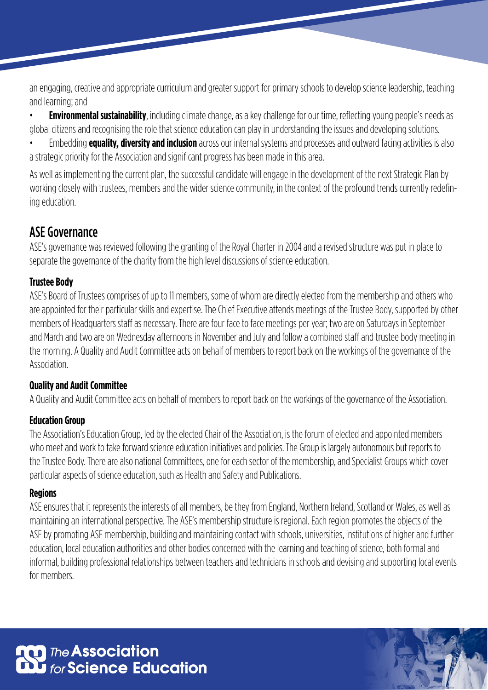an engaging, creative and appropriate curriculum and greater support for primary schools to develop science leadership, teaching and learning; and

• **Environmental sustainability**, including climate change, as a key challenge for our time, reflecting young people's needs as global citizens and recognising the role that science education can play in understanding the issues and developing solutions.

• Embedding **equality, diversity and inclusion** across our internal systems and processes and outward facing activities is also a strategic priority for the Association and significant progress has been made in this area.

As well as implementing the current plan, the successful candidate will engage in the development of the next Strategic Plan by working closely with trustees, members and the wider science community, in the context of the profound trends currently redefining education.

# ASE Governance

ASE's governance was reviewed following the granting of the Royal Charter in 2004 and a revised structure was put in place to separate the governance of the charity from the high level discussions of science education.

## **Trustee Body**

ASE's Board of Trustees comprises of up to 11 members, some of whom are directly elected from the membership and others who are appointed for their particular skills and expertise. The Chief Executive attends meetings of the Trustee Body, supported by other members of Headquarters staff as necessary. There are four face to face meetings per year; two are on Saturdays in September and March and two are on Wednesday afternoons in November and July and follow a combined staff and trustee body meeting in the morning. A Quality and Audit Committee acts on behalf of members to report back on the workings of the governance of the Association.

## **Quality and Audit Committee**

A Quality and Audit Committee acts on behalf of members to report back on the workings of the governance of the Association.

## **Education Group**

The Association's Education Group, led by the elected Chair of the Association, is the forum of elected and appointed members who meet and work to take forward science education initiatives and policies. The Group is largely autonomous but reports to the Trustee Body. There are also national Committees, one for each sector of the membership, and Specialist Groups which cover particular aspects of science education, such as Health and Safety and Publications.

## **Regions**

ASE ensures that it represents the interests of all members, be they from England, Northern Ireland, Scotland or Wales, as well as maintaining an international perspective. The ASE's membership structure is regional. Each region promotes the objects of the ASE by promoting ASE membership, building and maintaining contact with schools, universities, institutions of higher and further education, local education authorities and other bodies concerned with the learning and teaching of science, both formal and informal, building professional relationships between teachers and technicians in schools and devising and supporting local events for members.

**n** The **Association**<br>20 for Science Education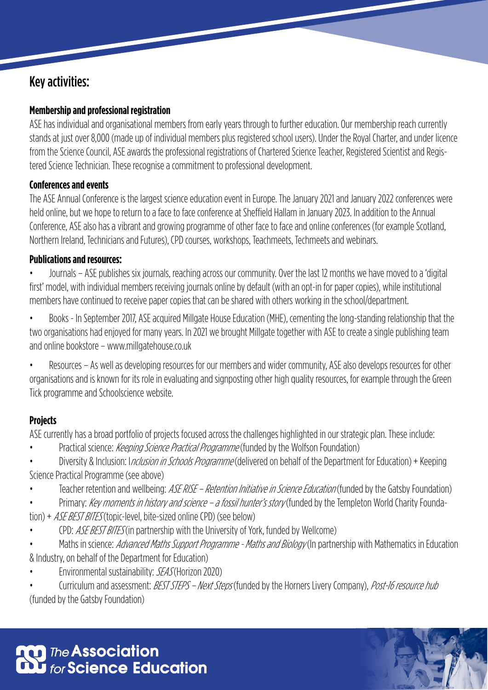# Key activities:

## **Membership and professional registration**

ASE has individual and organisational members from early years through to further education. Our membership reach currently stands at just over 8,000 (made up of individual members plus registered school users). Under the Royal Charter, and under licence from the Science Council, ASE awards the professional registrations of Chartered Science Teacher, Registered Scientist and Registered Science Technician. These recognise a commitment to professional development.

#### **Conferences and events**

The ASE Annual Conference is the largest science education event in Europe. The January 2021 and January 2022 conferences were held online, but we hope to return to a face to face conference at Sheffield Hallam in January 2023. In addition to the Annual Conference, ASE also has a vibrant and growing programme of other face to face and online conferences (for example Scotland, Northern Ireland, Technicians and Futures), CPD courses, workshops, Teachmeets, Techmeets and webinars.

#### **Publications and resources:**

• Journals – ASE publishes six journals, reaching across our community. Over the last 12 months we have moved to a 'digital first' model, with individual members receiving journals online by default (with an opt-in for paper copies), while institutional members have continued to receive paper copies that can be shared with others working in the school/department.

• Books - In September 2017, ASE acquired Millgate House Education (MHE), cementing the long-standing relationship that the two organisations had enjoyed for many years. In 2021 we brought Millgate together with ASE to create a single publishing team and online bookstore – www.millgatehouse.co.uk

• Resources – As well as developing resources for our members and wider community, ASE also develops resources for other organisations and is known for its role in evaluating and signposting other high quality resources, for example through the Green Tick programme and Schoolscience website.

## **Projects**

ASE currently has a broad portfolio of projects focused across the challenges highlighted in our strategic plan. These include:

- Practical science: *Keeping Science Practical Programme* (funded by the Wolfson Foundation)
- Diversity & Inclusion: *Inclusion in Schools Programme* (delivered on behalf of the Department for Education) + Keeping Science Practical Programme (see above)
- Teacher retention and wellbeing: *ASE RISE Retention Initiative in Science Education* (funded by the Gatsby Foundation)
- Primary: Key moments in history and science a fossil hunter's story (funded by the Templeton World Charity Foundation) + *ASE BEST BITES* (topic-level, bite-sized online CPD) (see below)
- CPD: *ASE BEST BITES* (in partnership with the University of York, funded by Wellcome)

Maths in science: *Advanced Maths Support Programme - Maths and Biology* (In partnership with Mathematics in Education & Industry, on behalf of the Department for Education)

• Environmental sustainability: SEAS (Horizon 2020)

Curriculum and assessment: BEST STEPS - Next Steps (funded by the Horners Livery Company), Post-16 resource hub (funded by the Gatsby Foundation)

**OD** The **Association**<br>OD for **Science Education**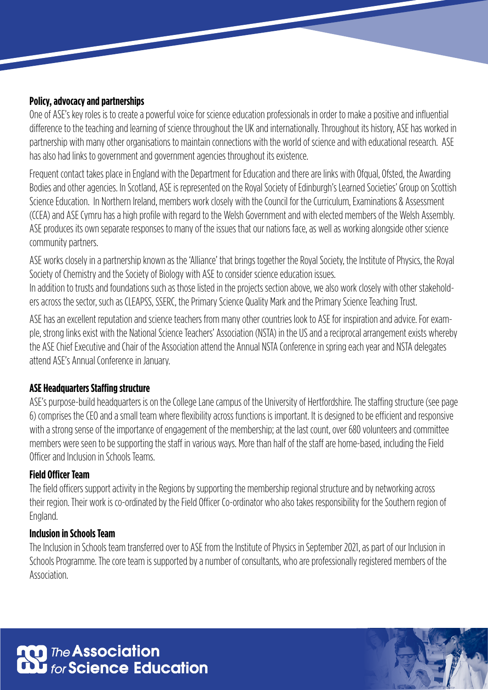#### **Policy, advocacy and partnerships**

One of ASE's key roles is to create a powerful voice for science education professionals in order to make a positive and influential difference to the teaching and learning of science throughout the UK and internationally. Throughout its history, ASE has worked in partnership with many other organisations to maintain connections with the world of science and with educational research. ASE has also had links to government and government agencies throughout its existence.

Frequent contact takes place in England with the Department for Education and there are links with Ofqual, Ofsted, the Awarding Bodies and other agencies. In Scotland, ASE is represented on the Royal Society of Edinburgh's Learned Societies' Group on Scottish Science Education. In Northern Ireland, members work closely with the Council for the Curriculum, Examinations & Assessment (CCEA) and ASE Cymru has a high profile with regard to the Welsh Government and with elected members of the Welsh Assembly. ASE produces its own separate responses to many of the issues that our nations face, as well as working alongside other science community partners.

ASE works closely in a partnership known as the 'Alliance' that brings together the Royal Society, the Institute of Physics, the Royal Society of Chemistry and the Society of Biology with ASE to consider science education issues.

In addition to trusts and foundations such as those listed in the projects section above, we also work closely with other stakeholders across the sector, such as CLEAPSS, SSERC, the Primary Science Quality Mark and the Primary Science Teaching Trust.

ASE has an excellent reputation and science teachers from many other countries look to ASE for inspiration and advice. For example, strong links exist with the National Science Teachers' Association (NSTA) in the US and a reciprocal arrangement exists whereby the ASE Chief Executive and Chair of the Association attend the Annual NSTA Conference in spring each year and NSTA delegates attend ASE's Annual Conference in January.

#### **ASE Headquarters Staffing structure**

ASE's purpose-build headquarters is on the College Lane campus of the University of Hertfordshire. The staffing structure (see page 6) comprises the CEO and a small team where flexibility across functions is important. It is designed to be efficient and responsive with a strong sense of the importance of engagement of the membership; at the last count, over 680 volunteers and committee members were seen to be supporting the staff in various ways. More than half of the staff are home-based, including the Field Officer and Inclusion in Schools Teams.

#### **Field Officer Team**

The field officers support activity in the Regions by supporting the membership regional structure and by networking across their region. Their work is co-ordinated by the Field Officer Co-ordinator who also takes responsibility for the Southern region of England.

#### **Inclusion in Schools Team**

The Inclusion in Schools team transferred over to ASE from the Institute of Physics in September 2021, as part of our Inclusion in Schools Programme. The core team is supported by a number of consultants, who are professionally registered members of the Association.

**OD** The **Association**<br>**Du** for **Science Education**